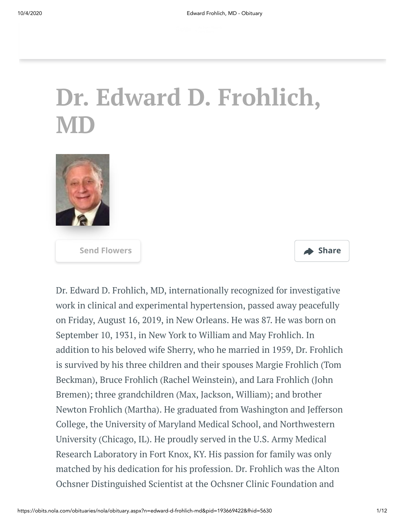# **Dr. Edward D. Frohlich, MD**



**[Send Flowers](https://sympathy.legacy.com/en-us/funeral-flowers/name/edward-frohlich-md-funeral-flowers/p193669422/?affiliateId=2&pm=205) Share**



Dr. Edward D. Frohlich, MD, internationally recognized for investigative work in clinical and experimental hypertension, passed away peacefully on Friday, August 16, 2019, in New Orleans. He was 87. He was born on September 10, 1931, in New York to William and May Frohlich. In addition to his beloved wife Sherry, who he married in 1959, Dr. Frohlich is survived by his three children and their spouses Margie Frohlich (Tom Beckman), Bruce Frohlich (Rachel Weinstein), and Lara Frohlich (John Bremen); three grandchildren (Max, Jackson, William); and brother Newton Frohlich (Martha). He graduated from Washington and Jefferson College, the University of Maryland Medical School, and Northwestern University (Chicago, IL). He proudly served in the U.S. Army Medical Research Laboratory in Fort Knox, KY. His passion for family was only matched by his dedication for his profession. Dr. Frohlich was the Alton Ochsner Distinguished Scientist at the Ochsner Clinic Foundation and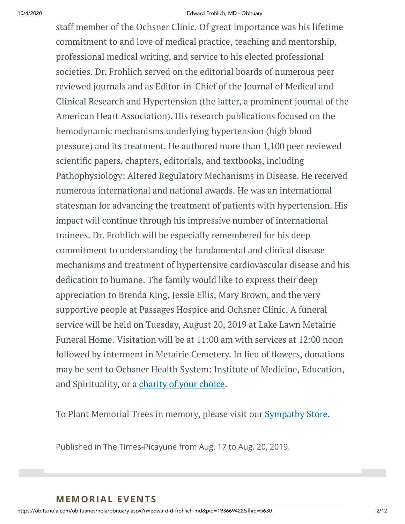#### 10/4/2020 Edward Frohlich, MD - Obituary

staff member of the Ochsner Clinic. Of great importance was his lifetime commitment to and love of medical practice, teaching and mentorship, professional medical writing, and service to his elected professional societies. Dr. Frohlich served on the editorial boards of numerous peer reviewed journals and as Editor-in-Chief of the Journal of Medical and Clinical Research and Hypertension (the latter, a prominent journal of the American Heart Association). His research publications focused on the hemodynamic mechanisms underlying hypertension (high blood pressure) and its treatment. He authored more than 1,100 peer reviewed scientific papers, chapters, editorials, and textbooks, including Pathophysiology: Altered Regulatory Mechanisms in Disease. He received numerous international and national awards. He was an international statesman for advancing the treatment of patients with hypertension. His impact will continue through his impressive number of international trainees. Dr. Frohlich will be especially remembered for his deep commitment to understanding the fundamental and clinical disease mechanisms and treatment of hypertensive cardiovascular disease and his dedication to humane. The family would like to express their deep appreciation to Brenda King, Jessie Ellis, Mary Brown, and the very supportive people at Passages Hospice and Ochsner Clinic. A funeral service will be held on Tuesday, August 20, 2019 at Lake Lawn Metairie Funeral Home. Visitation will be at 11:00 am with services at 12:00 noon followed by interment in Metairie Cemetery. In lieu of flowers, donations may be sent to Ochsner Health System: Institute of Medicine, Education, and Spirituality, or a [charity](http://www.legacy.com/obituaries/nola/condolences-charities.aspx?keyword=coycalz&pid=193669422) of your choice.

To Plant Memorial Trees in memory, please visit our **[Sympathy](https://sympathy.legacy.com/en-us/funeral-flowers/name/edward-frohlich-md-funeral-flowers/p193669422/?affiliateId=2&pm=240) Store**.

Published in The Times-Picayune from Aug. 17 to Aug. 20, 2019.

#### **MEMORIAL EVENTS**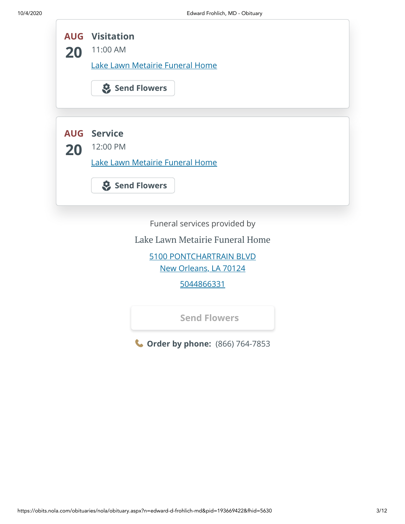|    | <b>AUG</b> Visitation           |
|----|---------------------------------|
| 20 | 11:00 AM                        |
|    | Lake Lawn Metairie Funeral Home |
|    | Send Flowers                    |
|    |                                 |
|    | <b>AUG</b> Service              |
| 20 | 12:00 PM                        |
|    | Lake Lawn Metairie Funeral Home |
|    |                                 |
|    | Send Flowers                    |
|    |                                 |
|    | Funeral services provided by    |
|    | Lake Lawn Metairie Funeral Home |
|    | 5100 PONTCHARTRAIN BLVD         |
|    | New Orleans, LA 70124           |
|    |                                 |

[5044866331](tel:5044866331)

**[Send Flowers](https://sympathy.legacy.com/en-us/funeral-flowers/name/edward-frohlich-md-funeral-flowers/p193669422/?affiliateId=2&pm=206)**

**Order by phone:** (866) 764-7853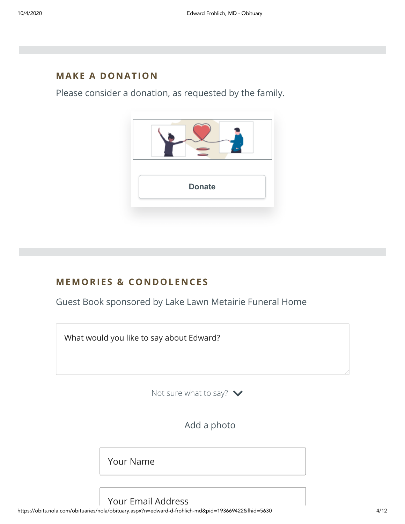#### **MAKE A DONATION**

Please consider a donation, as requested by the family.



## **MEMORIES & CO N DOLE N CES**

Guest Book sponsored by Lake Lawn Metairie Funeral Home



https://obits.nola.com/obituaries/nola/obituary.aspx?n=edward-d-frohlich-md&pid=193669422&fhid=5630 4/12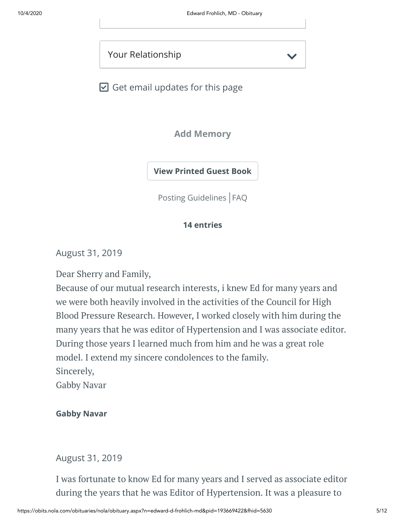Your Relationship

 $\boxdot$  Get email updates for this page

**Add Memory**

**[View Printed Guest Book](https://sympathy.legacy.com/en-us/printed-obituary-guestbook/gallery/?type=obituary&p=193669422&pn=edward-frohlich-md&affiliateId=2&pm=69)**

[Posting Guidelines](https://www.legacy.com/guestbooks/posting-guidelines.aspx?n=Edward-Frohlich,%20MD&pid=193669422) | [FAQ](https://www.legacy.com/guestbooks/faq.aspx?n=Edward-Frohlich,%20MD&pid=193669422)

#### **14 entries**

August 31, 2019

Dear Sherry and Family,

Because of our mutual research interests, i knew Ed for many years and we were both heavily involved in the activities of the Council for High Blood Pressure Research. However, I worked closely with him during the many years that he was editor of Hypertension and I was associate editor. During those years I learned much from him and he was a great role model. I extend my sincere condolences to the family. Sincerely,

Gabby Navar

#### **Gabby Navar**

#### August 31, 2019

I was fortunate to know Ed for many years and I served as associate editor during the years that he was Editor of Hypertension. It was a pleasure to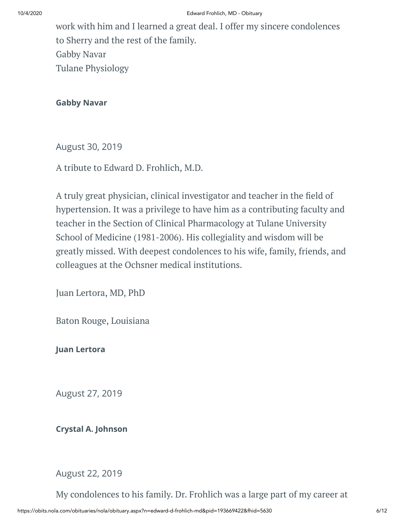work with him and I learned a great deal. I offer my sincere condolences to Sherry and the rest of the family. Gabby Navar Tulane Physiology

**Gabby Navar**

August 30, 2019

A tribute to Edward D. Frohlich, M.D.

A truly great physician, clinical investigator and teacher in the field of hypertension. It was a privilege to have him as a contributing faculty and teacher in the Section of Clinical Pharmacology at Tulane University School of Medicine (1981-2006). His collegiality and wisdom will be greatly missed. With deepest condolences to his wife, family, friends, and colleagues at the Ochsner medical institutions.

Juan Lertora, MD, PhD

Baton Rouge, Louisiana

**Juan Lertora**

August 27, 2019

**Crystal A. Johnson**

August 22, 2019

My condolences to his family. Dr. Frohlich was a large part of my career at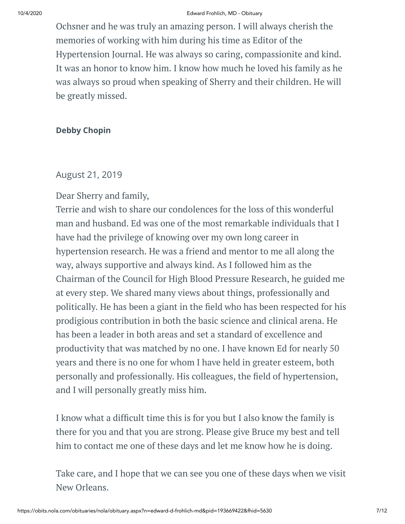#### 10/4/2020 Edward Frohlich, MD - Obituary

Ochsner and he was truly an amazing person. I will always cherish the memories of working with him during his time as Editor of the Hypertension Journal. He was always so caring, compassionite and kind. It was an honor to know him. I know how much he loved his family as he was always so proud when speaking of Sherry and their children. He will be greatly missed.

#### **Debby Chopin**

#### August 21, 2019

#### Dear Sherry and family,

Terrie and wish to share our condolences for the loss of this wonderful man and husband. Ed was one of the most remarkable individuals that I have had the privilege of knowing over my own long career in hypertension research. He was a friend and mentor to me all along the way, always supportive and always kind. As I followed him as the Chairman of the Council for High Blood Pressure Research, he guided me at every step. We shared many views about things, professionally and politically. He has been a giant in the field who has been respected for his prodigious contribution in both the basic science and clinical arena. He has been a leader in both areas and set a standard of excellence and productivity that was matched by no one. I have known Ed for nearly 50 years and there is no one for whom I have held in greater esteem, both personally and professionally. His colleagues, the field of hypertension, and I will personally greatly miss him.

I know what a difcult time this is for you but I also know the family is there for you and that you are strong. Please give Bruce my best and tell him to contact me one of these days and let me know how he is doing.

Take care, and I hope that we can see you one of these days when we visit New Orleans.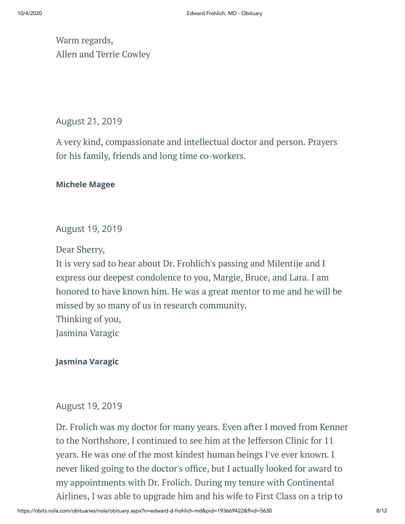Warm regards, Allen and Terrie Cowley

## August 21, 2019

A very kind, compassionate and intellectual doctor and person. Prayers for his family, friends and long time co-workers.

#### **Michele Magee**

## August 19, 2019

Dear Sherry,

It is very sad to hear about Dr. Frohlich's passing and Milentije and I express our deepest condolence to you, Margie, Bruce, and Lara. I am honored to have known him. He was a great mentor to me and he will be missed by so many of us in research community. Thinking of you, Jasmina Varagic

#### **Jasmina Varagic**

#### August 19, 2019

Dr. Frolich was my doctor for many years. Even after I moved from Kenner to the Northshore, I continued to see him at the Jefferson Clinic for 11 years. He was one of the most kindest human beings I've ever known. I never liked going to the doctor's office, but I actually looked for award to my appointments with Dr. Frolich. During my tenure with Continental Airlines, I was able to upgrade him and his wife to First Class on a trip to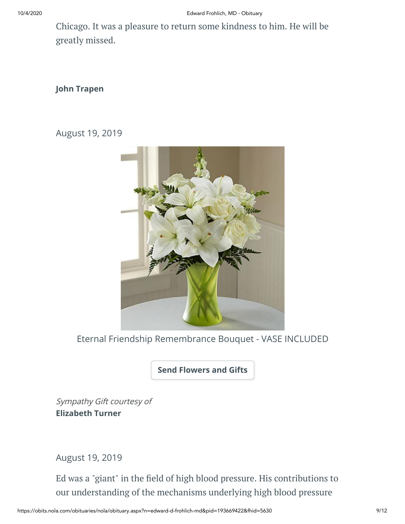Chicago. It was a pleasure to return some kindness to him. He will be greatly missed.

#### **John Trapen**

August 19, 2019



Eternal Friendship Remembrance Bouquet - VASE INCLUDED

**[Send Flowers and Gifts](https://sympathy.legacy.com/en-us/funeral-flowers/name/edward-frohlich-md-funeral-flowers/p193669422/?affiliateId=2&pm=272)**

Sympathy Gift courtesy of **Elizabeth Turner**

August 19, 2019

Ed was a "giant" in the field of high blood pressure. His contributions to our understanding of the mechanisms underlying high blood pressure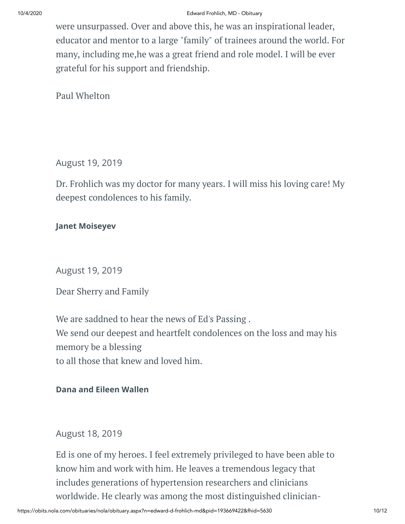#### 10/4/2020 Edward Frohlich, MD - Obituary

were unsurpassed. Over and above this, he was an inspirational leader, educator and mentor to a large "family" of trainees around the world. For many, including me,he was a great friend and role model. I will be ever grateful for his support and friendship.

Paul Whelton

### August 19, 2019

Dr. Frohlich was my doctor for many years. I will miss his loving care! My deepest condolences to his family.

#### **Janet Moiseyev**

August 19, 2019

Dear Sherry and Family

We are saddned to hear the news of Ed's Passing . We send our deepest and heartfelt condolences on the loss and may his memory be a blessing to all those that knew and loved him.

#### **Dana and Eileen Wallen**

#### August 18, 2019

Ed is one of my heroes. I feel extremely privileged to have been able to know him and work with him. He leaves a tremendous legacy that includes generations of hypertension researchers and clinicians worldwide. He clearly was among the most distinguished clinician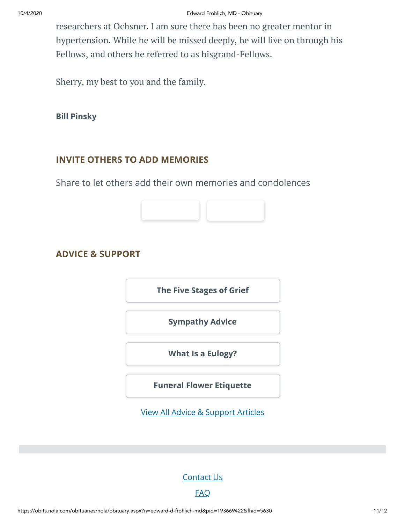researchers at Ochsner. I am sure there has been no greater mentor in hypertension. While he will be missed deeply, he will live on through his Fellows, and others he referred to as hisgrand-Fellows.

Sherry, my best to you and the family.

**Bill Pinsky**

#### **INVITE OTHERS TO ADD MEMORIES**

Share to let others add their own memories and condolences



**[The Five Stages of Grief](https://www.legacy.com/news/advice-and-support/article/the-five-stages-of-grief)**

**[Sympathy Advice](https://www.legacy.com/news/advice-and-support/article/sympathy-and-condolence-advice)**

**[What Is a Eulogy?](https://www.legacy.com/news/advice-and-support/article/what-is-a-eulogy)**

**[Funeral Flower Etiquette](https://sympathy.legacy.com//en-us/funeral-flowers/article/funeral-flower-etiquette/)**

[View All Advice & Support Articles](http://www.legacy.com/news/advice-and-support)

[Contact Us](https://www.legacy.com/ns/about/contact.aspx)